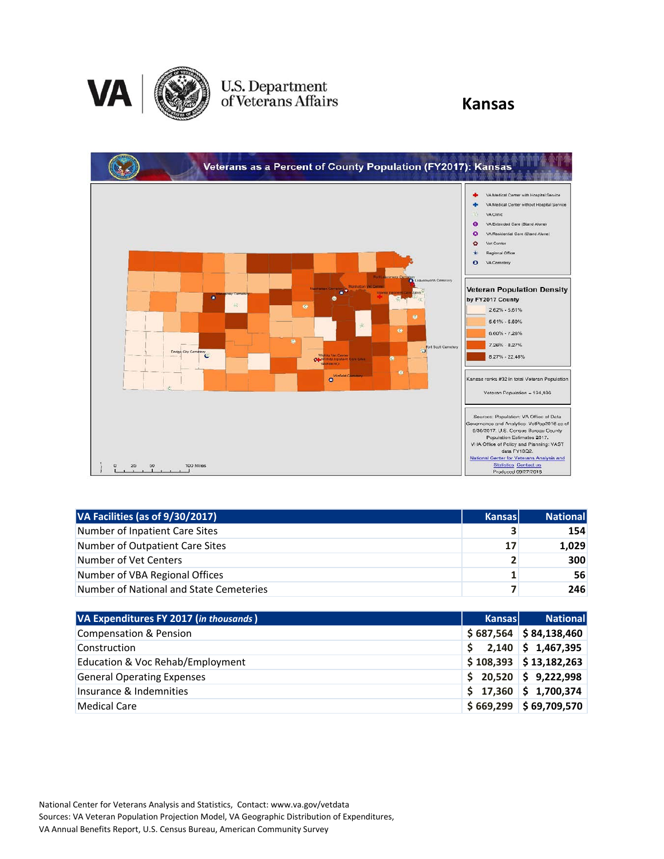

# U.S. Department<br>of Veterans Affairs

#### **Kansas**



| VA Facilities (as of 9/30/2017)         | <b>Kansas</b>  | National |
|-----------------------------------------|----------------|----------|
| Number of Inpatient Care Sites          | 3              | 154      |
| Number of Outpatient Care Sites         | 17             | 1,029    |
| Number of Vet Centers                   | $\overline{2}$ | 300      |
| Number of VBA Regional Offices          | 1.             | 56       |
| Number of National and State Cemeteries | 7              | 246      |

| VA Expenditures FY 2017 (in thousands) | <b>Kansas</b> | <b>National</b>            |
|----------------------------------------|---------------|----------------------------|
| <b>Compensation &amp; Pension</b>      |               | $$687,564$ $$84,138,460$   |
| Construction                           | Ŝ.            | $2,140 \mid \xi$ 1,467,395 |
| Education & Voc Rehab/Employment       |               | $$108,393$ $$13,182,263$   |
| <b>General Operating Expenses</b>      |               | $$20,520 \mid $9,222,998$  |
| Insurance & Indemnities                |               | $$17,360$ $$1,700,374$     |
| Medical Care                           |               | $$669,299$ $$69,709,570$   |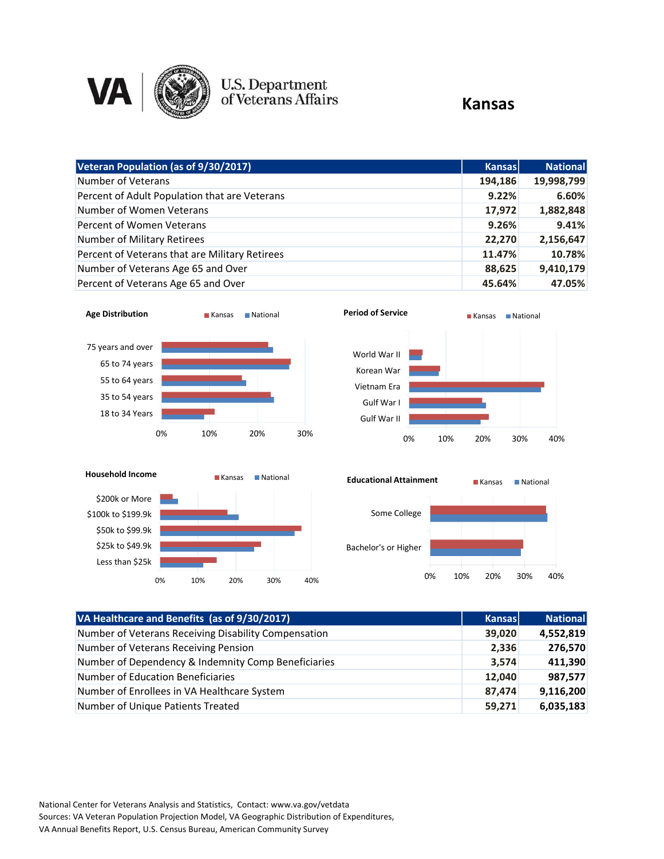

## U.S. Department<br>of Veterans Affairs

#### **Kansas**

| Veteran Population (as of 9/30/2017)           | <b>Kansas</b> | <b>National</b> |
|------------------------------------------------|---------------|-----------------|
| Number of Veterans                             | 194,186       | 19,998,799      |
| Percent of Adult Population that are Veterans  | 9.22%         | 6.60%           |
| Number of Women Veterans                       | 17,972        | 1,882,848       |
| Percent of Women Veterans                      | 9.26%         | 9.41%           |
| Number of Military Retirees                    | 22,270        | 2,156,647       |
| Percent of Veterans that are Military Retirees | 11.47%        | 10.78%          |
| Number of Veterans Age 65 and Over             | 88,625        | 9,410,179       |
| Percent of Veterans Age 65 and Over            | 45.64%        | 47.05%          |







0% 10% 20% 30% 40%

| VA Healthcare and Benefits (as of 9/30/2017)         | <b>Kansas</b> | <b>National</b> |
|------------------------------------------------------|---------------|-----------------|
| Number of Veterans Receiving Disability Compensation | 39,020        | 4,552,819       |
| Number of Veterans Receiving Pension                 | 2,336         | 276,570         |
| Number of Dependency & Indemnity Comp Beneficiaries  | 3,574         | 411,390         |
| <b>Number of Education Beneficiaries</b>             | 12,040        | 987,577         |
| Number of Enrollees in VA Healthcare System          | 87,474        | 9,116,200       |
| Number of Unique Patients Treated                    | 59,271        | 6,035,183       |